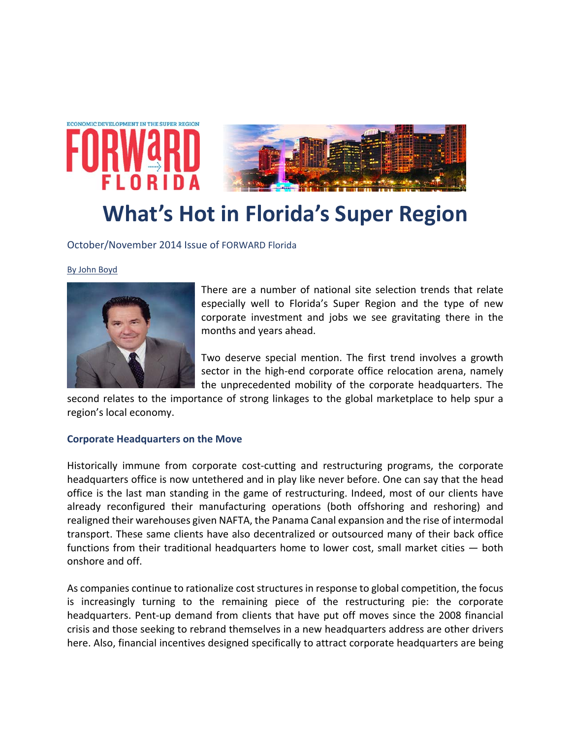ECONOMIC DEVELOPMENT IN THE SUPER REGION

## **What's Hot in Florida's Super Region**

October/November 2014 Issue of FORWARD Florida

## By John Boyd



There are a number of national site selection trends that relate especially well to Florida's Super Region and the type of new corporate investment and jobs we see gravitating there in the months and years ahead.

Two deserve special mention. The first trend involves a growth sector in the high-end corporate office relocation arena, namely the unprecedented mobility of the corporate headquarters. The

second relates to the importance of strong linkages to the global marketplace to help spur a region's local economy.

## **Corporate Headquarters on the Move**

Historically immune from corporate cost-cutting and restructuring programs, the corporate headquarters office is now untethered and in play like never before. One can say that the head office is the last man standing in the game of restructuring. Indeed, most of our clients have already reconfigured their manufacturing operations (both offshoring and reshoring) and realigned their warehouses given NAFTA, the Panama Canal expansion and the rise of intermodal transport. These same clients have also decentralized or outsourced many of their back office functions from their traditional headquarters home to lower cost, small market cities — both onshore and off.

As companies continue to rationalize cost structures in response to global competition, the focus is increasingly turning to the remaining piece of the restructuring pie: the corporate headquarters. Pent-up demand from clients that have put off moves since the 2008 financial crisis and those seeking to rebrand themselves in a new headquarters address are other drivers here. Also, financial incentives designed specifically to attract corporate headquarters are being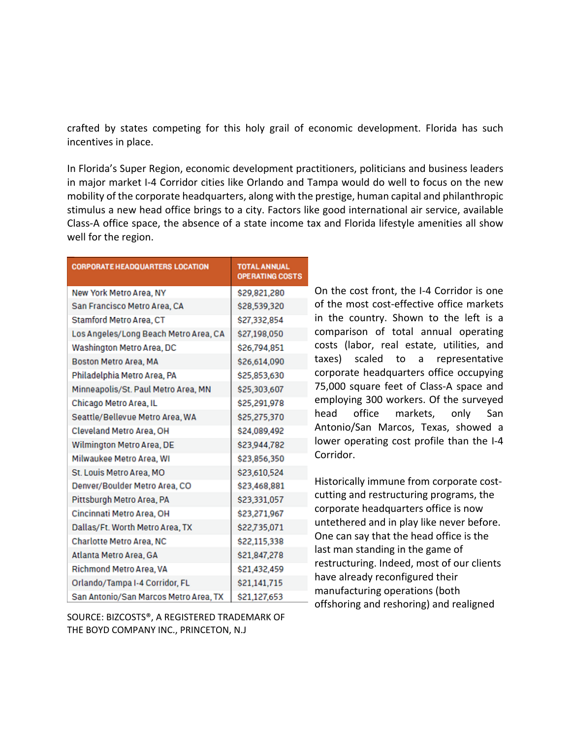crafted by states competing for this holy grail of economic development. Florida has such incentives in place.

In Florida's Super Region, economic development practitioners, politicians and business leaders in major market I‐4 Corridor cities like Orlando and Tampa would do well to focus on the new mobility of the corporate headquarters, along with the prestige, human capital and philanthropic stimulus a new head office brings to a city. Factors like good international air service, available Class‐A office space, the absence of a state income tax and Florida lifestyle amenities all show well for the region.

| <b>CORPORATE HEADQUARTERS LOCATION</b> | <b>TOTAL ANNUAL</b><br><b>OPERATING COSTS</b> |
|----------------------------------------|-----------------------------------------------|
| New York Metro Area, NY                | \$29,821,280                                  |
| San Francisco Metro Area, CA           | \$28,539,320                                  |
| Stamford Metro Area, CT                | \$27,332,854                                  |
| Los Angeles/Long Beach Metro Area, CA  | \$27,198,050                                  |
| Washington Metro Area, DC              | \$26,794,851                                  |
| <b>Boston Metro Area, MA</b>           | \$26,614,090                                  |
| Philadelphia Metro Area, PA            | \$25,853,630                                  |
| Minneapolis/St. Paul Metro Area, MN    | \$25,303,607                                  |
| Chicago Metro Area, IL                 | \$25,291,978                                  |
| Seattle/Bellevue Metro Area, WA        | \$25,275,370                                  |
| Cleveland Metro Area, OH               | \$24,089,492                                  |
| <b>Wilmington Metro Area, DE</b>       | \$23,944,782                                  |
| Milwaukee Metro Area, WI               | \$23,856,350                                  |
| St. Louis Metro Area, MO               | \$23,610,524                                  |
| Denver/Boulder Metro Area, CO          | \$23,468,881                                  |
| Pittsburgh Metro Area, PA              | \$23,331,057                                  |
| Cincinnati Metro Area, OH              | \$23,271,967                                  |
| Dallas/Ft. Worth Metro Area, TX        | \$22,735,071                                  |
| Charlotte Metro Area, NC               | \$22,115,338                                  |
| Atlanta Metro Area, GA                 | \$21,847,278                                  |
| Richmond Metro Area, VA                | \$21,432,459                                  |
| Orlando/Tampa I-4 Corridor, FL         | \$21,141,715                                  |
| San Antonio/San Marcos Metro Area, TX  | \$21,127,653                                  |

SOURCE: BIZCOSTS®, A REGISTERED TRADEMARK OF THE BOYD COMPANY INC., PRINCETON, N.J

On the cost front, the I‐4 Corridor is one of the most cost‐effective office markets in the country. Shown to the left is a comparison of total annual operating costs (labor, real estate, utilities, and taxes) scaled to a representative corporate headquarters office occupying 75,000 square feet of Class‐A space and employing 300 workers. Of the surveyed head office markets, only San Antonio/San Marcos, Texas, showed a lower operating cost profile than the I‐4 Corridor.

Historically immune from corporate cost‐ cutting and restructuring programs, the corporate headquarters office is now untethered and in play like never before. One can say that the head office is the last man standing in the game of restructuring. Indeed, most of our clients have already reconfigured their manufacturing operations (both  $-$  offshoring and reshoring) and realigned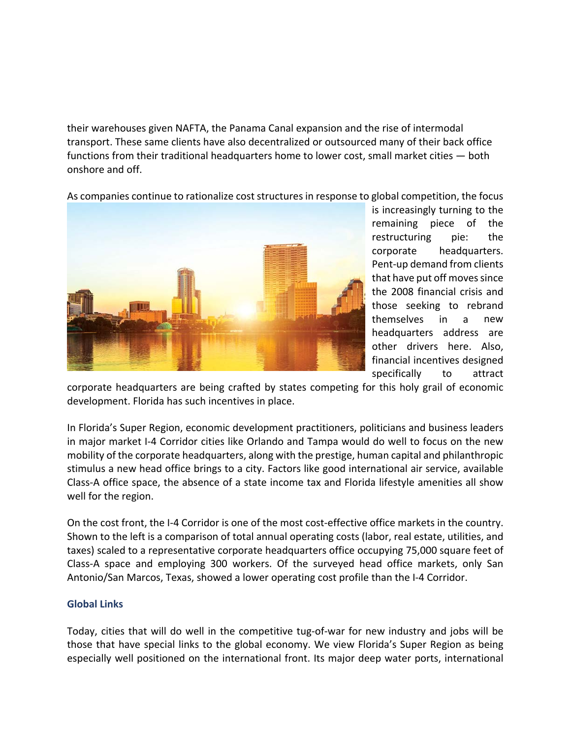their warehouses given NAFTA, the Panama Canal expansion and the rise of intermodal transport. These same clients have also decentralized or outsourced many of their back office functions from their traditional headquarters home to lower cost, small market cities — both onshore and off.

As companies continue to rationalize cost structures in response to global competition, the focus



is increasingly turning to the remaining piece of the restructuring pie: the corporate headquarters. Pent‐up demand from clients that have put off moves since the 2008 financial crisis and those seeking to rebrand themselves in a new headquarters address are other drivers here. Also, financial incentives designed specifically to attract

corporate headquarters are being crafted by states competing for this holy grail of economic development. Florida has such incentives in place.

In Florida's Super Region, economic development practitioners, politicians and business leaders in major market I‐4 Corridor cities like Orlando and Tampa would do well to focus on the new mobility of the corporate headquarters, along with the prestige, human capital and philanthropic stimulus a new head office brings to a city. Factors like good international air service, available Class‐A office space, the absence of a state income tax and Florida lifestyle amenities all show well for the region.

On the cost front, the I-4 Corridor is one of the most cost-effective office markets in the country. Shown to the left is a comparison of total annual operating costs (labor, real estate, utilities, and taxes) scaled to a representative corporate headquarters office occupying 75,000 square feet of Class‐A space and employing 300 workers. Of the surveyed head office markets, only San Antonio/San Marcos, Texas, showed a lower operating cost profile than the I‐4 Corridor.

## **Global Links**

Today, cities that will do well in the competitive tug-of-war for new industry and jobs will be those that have special links to the global economy. We view Florida's Super Region as being especially well positioned on the international front. Its major deep water ports, international